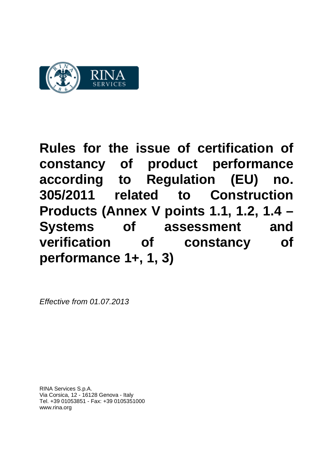

*Effective from 01.07.2013*

RINA Services S.p.A. Via Corsica, 12 - 16128 Genova - Italy Tel. +39 01053851 - Fax: +39 0105351000 www.rina.org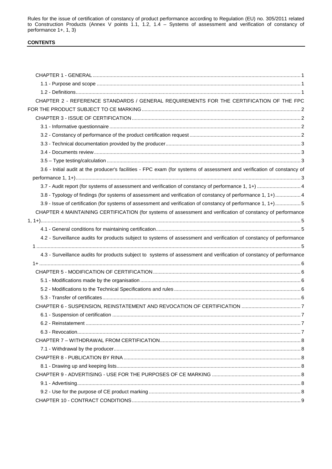# **CONTENTS**

| CHAPTER 2 - REFERENCE STANDARDS / GENERAL REQUIREMENTS FOR THE CERTIFICATION OF THE FPC                                 |  |
|-------------------------------------------------------------------------------------------------------------------------|--|
|                                                                                                                         |  |
|                                                                                                                         |  |
|                                                                                                                         |  |
|                                                                                                                         |  |
|                                                                                                                         |  |
|                                                                                                                         |  |
|                                                                                                                         |  |
| 3.6 - Initial audit at the producer's facilities - FPC exam (for systems of assessment and verification of constancy of |  |
|                                                                                                                         |  |
| 3.7 - Audit report (for systems of assessment and verification of constancy of performance 1, 1+)  4                    |  |
| 3.8 - Typology of findings (for systems of assessment and verification of constancy of performance 1, 1+) 4             |  |
| 3.9 - Issue of certification (for systems of assessment and verification of constancy of performance 1, 1+)5            |  |
| CHAPTER 4 MAINTAINING CERTIFICATION (for systems of assessment and verification of constancy of performance             |  |
|                                                                                                                         |  |
|                                                                                                                         |  |
| 4.2 - Surveillance audits for products subject to systems of assessment and verification of constancy of performance    |  |
|                                                                                                                         |  |
| 4.3 - Surveillance audits for products subject to systems of assessment and verification of constancy of performance    |  |
|                                                                                                                         |  |
|                                                                                                                         |  |
|                                                                                                                         |  |
|                                                                                                                         |  |
|                                                                                                                         |  |
|                                                                                                                         |  |
|                                                                                                                         |  |
|                                                                                                                         |  |
|                                                                                                                         |  |
|                                                                                                                         |  |
|                                                                                                                         |  |
|                                                                                                                         |  |
|                                                                                                                         |  |
|                                                                                                                         |  |
|                                                                                                                         |  |
|                                                                                                                         |  |
|                                                                                                                         |  |
|                                                                                                                         |  |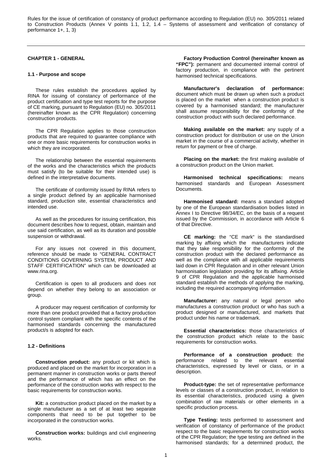### **CHAPTER 1 - GENERAL**

#### **1.1 - Purpose and scope**

These rules establish the procedures applied by RINA for issuing of constancy of performance of the product certification and type test reports for the purpose of CE marking, pursuant to Regulation (EU) no. 305/2011 (hereinafter known as the CPR Regulation) concerning construction products.

The CPR Regulation applies to those construction products that are required to guarantee compliance with one or more basic requirements for construction works in which they are incorporated.

The relationship between the essential requirements of the works and the characteristics which the products must satisfy (to be suitable for their intended use) is defined in the interpretative documents.

The certificate of conformity issued by RINA refers to a single product defined by an applicable harmonised standard, production site, essential characteristics and intended use.

As well as the procedures for issuing certification, this document describes how to request, obtain, maintain and use said certification, as well as its duration and possible suspension or withdrawal.

For any issues not covered in this document, reference should be made to "GENERAL CONTRACT CONDITIONS GOVERNING SYSTEM, PRODUCT AND STAFF CERTIFICATION" which can be downloaded at www.rina.org.

Certification is open to all producers and does not depend on whether they belong to an association or group.

A producer may request certification of conformity for more than one product provided that a factory production control system compliant with the specific contents of the harmonised standards concerning the manufactured product/s is adopted for each.

### **1.2 - Definitions**

**Construction product:** any product or kit which is produced and placed on the market for incorporation in a permanent manner in construction works or parts thereof and the performance of which has an effect on the performance of the construction works with respect to the basic requirements for construction works.

**Kit:** a construction product placed on the market by a single manufacturer as a set of at least two separate components that need to be put together to be incorporated in the construction works.

**Construction works:** buildings and civil engineering works.

**Factory Production Control (hereinafter known as "FPC"):** permanent and documented internal control of factory production, in compliance with the pertinent harmonised technical specifications.

**Manufacturer's declaration of performance:**  document which must be drawn up when such a product is placed on the market when a construction product is covered by a harmonised standard; the manufacturer shall assume responsibility for the conformity of the construction product with such declared performance.

**Making available on the market:** any supply of a construction product for distribution or use on the Union market in the course of a commercial activity, whether in return for payment or free of charge.

**Placing on the market:** the first making available of a construction product on the Union market.

**Harmonised technical specifications:** means harmonised standards and European Assessment **Documents** 

**Harmonised standard:** means a standard adopted by one of the European standardisation bodies listed in Annex I to Directive 98/34/EC, on the basis of a request issued by the Commission, in accordance with Article 6 of that Directive.

**CE marking:** the "CE mark" is the standardised marking by affixing which the manufacturers indicate that they take responsibility for the conformity of the construction product with the declared performance as well as the compliance with all applicable requirements laid down in CPR Regulation and in other relevant Union harmonisation legislation providing for its affixing. Article 9 of CPR Regulation and the applicable harmonised standard establish the methods of applying the marking, including the required accompanying information.

**Manufacturer:** any natural or legal person who manufactures a construction product or who has such a product designed or manufactured, and markets that product under his name or trademark.

**Essential characteristics:** those characteristics of the construction product which relate to the basic requirements for construction works.

**Performance of a construction product:** the performance related to the relevant essential characteristics, expressed by level or class, or in a description.

**Product-type:** the set of representative performance levels or classes of a construction product, in relation to its essential characteristics, produced using a given combination of raw materials or other elements in a specific production process.

**Type Testing:** tests performed to assessment and verification of constancy of performance of the product respect to the basic requirements for construction works of the CPR Regulation; the type testing are defined in the harmonised standards; for a determined product, the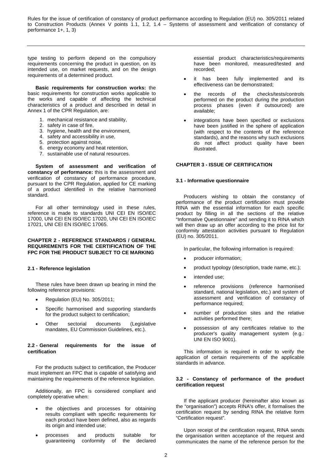type testing to perform depend on the compulsory requirements concerning the product in question, on its intended use, on market requests, and on the design requirements of a determined product.

**Basic requirements for construction works:** the basic requirements for construction works applicable to the works and capable of affecting the technical characteristics of a product and described in detail in Annex 1 of the CPR Regulation, are:

- 1. mechanical resistance and stability,
- 2. safety in case of fire,
- 3. hygiene, health and the environment,
- 4. safety and accessibility in use,
- 5. protection against noise,
- 6. energy economy and heat retention,
- 7. sustainable use of natural resources.

**System of assessment and verification of constancy of performance:** this is the assessment and verification of constancy of performance procedure, pursuant to the CPR Regulation, applied for CE marking of a product identified in the relative harmonised standard.

For all other terminology used in these rules, reference is made to standards UNI CEI EN ISO/IEC 17000, UNI CEI EN ISO/IEC 17020, UNI CEI EN ISO/IEC 17021, UNI CEI EN ISO/IEC 17065.

### **CHAPTER 2 - REFERENCE STANDARDS / GENERAL REQUIREMENTS FOR THE CERTIFICATION OF THE FPC FOR THE PRODUCT SUBJECT TO CE MARKING**

#### **2.1 - Reference legislation**

These rules have been drawn up bearing in mind the following reference provisions:

- Regulation (EU) No. 305/2011;
- Specific harmonised and supporting standards for the product subject to certification;
- Other sectorial documents (Legislative mandates, EU Commission Guidelines, etc.).

#### **2.2 - General requirements for the issue of certification**

For the products subject to certification, the Producer must implement an FPC that is capable of satisfying and maintaining the requirements of the reference legislation.

Additionally, an FPC is considered compliant and completely operative when:

- the objectives and processes for obtaining results compliant with specific requirements for each product have been defined, also as regards its origin and intended use;
- processes and products suitable for guaranteeing conformity of the declared

essential product characteristics/requirements have been monitored, measured/tested and recorded;

- it has been fully implemented and its effectiveness can be demonstrated;
- the records of the checks/tests/controls performed on the product during the production process phases (even if outsourced) are available;
- integrations have been specified or exclusions have been justified in the sphere of application (with respect to the contents of the reference standards), and the reasons why such exclusions do not affect product quality have been illustrated.

### **CHAPTER 3 - ISSUE OF CERTIFICATION**

#### **3.1 - Informative questionnaire**

Producers wishing to obtain the constancy of performance of the product certification must provide RINA with the essential information for each specific product by filling in all the sections of the relative "Informative Questionnaire" and sending it to RINA which will then draw up an offer according to the price list for conformity attestation activities pursuant to Regulation (EU) no. 305/2011.

In particular, the following information is required:

- producer information;
- product typology (description, trade name, etc.);
- intended use;
- reference provisions (reference harmonised standard, national legislation, etc.) and system of assessment and verification of constancy of performance required;
- number of production sites and the relative activities performed there;
- possession of any certificates relative to the producer's quality management system (e.g.: UNI EN ISO 9001).

This information is required in order to verify the application of certain requirements of the applicable standards in advance.

#### **3.2 - Constancy of performance of the product certification request**

If the applicant producer (hereinafter also known as the "organisation") accepts RINA's offer, it formalises the certification request by sending RINA the relative form "Certification request".

Upon receipt of the certification request, RINA sends the organisation written acceptance of the request and communicates the name of the reference person for the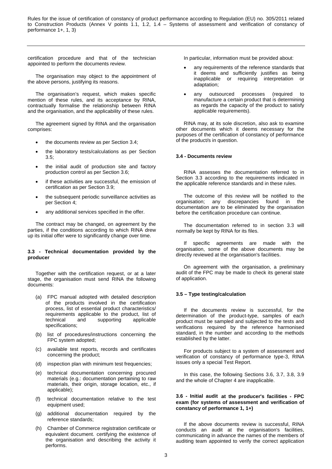certification procedure and that of the technician appointed to perform the documents review.

The organisation may object to the appointment of the above persons, justifying its reasons.

The organisation's request, which makes specific mention of these rules, and its acceptance by RINA, contractually formalise the relationship between RINA and the organisation, and the applicability of these rules.

The agreement signed by RINA and the organisation comprises:

- the documents review as per Section 3.4;
- the laboratory tests/calculations as per Section 3.5;
- the initial audit of production site and factory production control as per Section 3.6;
- if these activities are successful, the emission of certification as per Section 3.9;
- the subsequent periodic surveillance activities as per Section 4;
- any additional services specified in the offer.

The contract may be changed, on agreement by the parties, if the conditions according to which RINA drew up its initial offer were to significantly change over time.

#### **3.3 - Technical documentation provided by the producer**

Together with the certification request, or at a later stage, the organisation must send RINA the following documents:

- (a) FPC manual adopted with detailed description of the products involved in the certification process, list of essential product characteristics/ requirements applicable to the product, list of technical and supporting applicable specifications;
- (b) list of procedures/instructions concerning the FPC system adopted;
- (c) available test reports, records and certificates concerning the product;
- (d) inspection plan with minimum test frequencies;
- (e) technical documentation concerning procured materials (e.g.: documentation pertaining to raw materials, their origin, storage location, etc., if applicable);
- (f) technical documentation relative to the test equipment used;
- (g) additional documentation required by the reference standards;
- (h) Chamber of Commerce registration certificate or equivalent document. certifying the existence of the organisation and describing the activity it performs.

In particular, information must be provided about:

- any requirements of the reference standards that it deems and sufficiently justifies as being inapplicable or requiring interpretation or adaptation;
- any outsourced processes (required to manufacture a certain product that is determining as regards the capacity of the product to satisfy applicable requirements).

RINA may, at its sole discretion, also ask to examine other documents which it deems necessary for the purposes of the certification of constancy of performance of the product/s in question.

#### **3.4 - Documents review**

RINA assesses the documentation referred to in Section 3.3 according to the requirements indicated in the applicable reference standards and in these rules.

The outcome of this review will be notified to the organisation; any discrepancies found in the documentation are to be eliminated by the organisation before the certification procedure can continue.

The documentation referred to in section 3.3 will normally be kept by RINA for its files.

If specific agreements are made with the organisation, some of the above documents may be directly reviewed at the organisation's facilities.

On agreement with the organisation, a preliminary audit of the FPC may be made to check its general state of application.

#### **3.5 – Type testing/calculation**

If the documents review is successful, for the determination of the product-type, samples of each product must be sampled and subjected to the tests and verifications required by the reference harmonised standard, in the number and according to the methods established by the latter.

For products subject to a system of assessment and verification of constancy of performance type-3, RINA issues only a special Test Report.

In this case, the following Sections 3.6, 3.7, 3.8, 3.9 and the whole of Chapter 4 are inapplicable.

#### **3.6 - Initial audit at the producer's facilities - FPC exam (for systems of assessment and verification of constancy of performance 1, 1+)**

If the above documents review is successful, RINA conducts an audit at the organisation's facilities, communicating in advance the names of the members of auditing team appointed to verify the correct application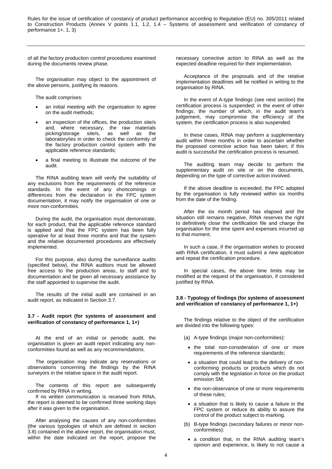of all the factory production control procedures examined during the documents review phase.

The organisation may object to the appointment of the above persons, justifying its reasons.

The audit comprises:

- an initial meeting with the organisation to agree on the audit methods;
- an inspection of the offices, the production site/s and, where necessary, the raw materials<br>picking/storage site/s, as well as the picking/storage site/s, as well laboratory/ies in order to check the conformity of the factory production control system with the applicable reference standards;
- a final meeting to illustrate the outcome of the audit.

The RINA auditing team will verify the suitability of any exclusions from the requirements of the reference standards. In the event of any shortcomings or differences from the declaration in the FPC system documentation, it may notify the organisation of one or more non-conformities.

During the audit, the organisation must demonstrate, for each product, that the applicable reference standard is applied and that the FPC system has been fully operative for at least three months and that the system and the relative documented procedures are effectively implemented.

For this purpose, also during the surveillance audits (specified below), the RINA auditors must be allowed free access to the production areas, to staff and to documentation and be given all necessary assistance by the staff appointed to supervise the audit.

The results of the initial audit are contained in an audit report, as indicated in Section 3.7.

### **3.7 - Audit report (for systems of assessment and verification of constancy of performance 1, 1+)**

At the end of an initial or periodic audit, the organisation is given an audit report indicating any nonconformities found as well as any recommendations.

The organisation may indicate any reservations or observations concerning the findings by the RINA surveyors in the relative space in the audit report.

The contents of this report are subsequently confirmed by RINA in writing.

If no written communication is received from RINA, the report is deemed to be confirmed three working days after it was given to the organisation.

After analysing the causes of any non-conformities (the various typologies of which are defined in section 3.8) contained in the above report, the organisation must, within the date indicated on the report, propose the

necessary corrective action to RINA as well as the expected deadline required for their implementation.

Acceptance of the proposals and of the relative implementation deadlines will be notified in writing to the organisation by RINA.

In the event of A-type findings (see next section) the certification process is suspended; in the event of other findings, the number of which, in the audit team's judgement, may compromise the efficiency of the system, the certification process is also suspended.

In these cases, RINA may perform a supplementary audit within three months in order to ascertain whether the proposed corrective action has been taken; if this audit is successful the certification process is resumed.

The auditing team may decide to perform the supplementary audit on site or on the documents, depending on the type of corrective action involved.

If the above deadline is exceeded, the FPC adopted by the organisation is fully reviewed within six months from the date of the finding.

After the six month period has elapsed and the situation still remains negative, RINA reserves the right to definitively close the certification file and charge the organisation for the time spent and expenses incurred up to that moment.

In such a case, if the organisation wishes to proceed with RINA certification, it must submit a new application and repeat the certification procedure.

In special cases, the above time limits may be modified at the request of the organisation, if considered justified by RINA.

#### **3.8 - Typology of findings (for systems of assessment and verification of constancy of performance 1, 1+)**

The findings relative to the object of the certification are divided into the following types:

- (a) A-type findings (major non-conformities):
	- the total non-consideration of one or more requirements of the reference standards;
	- a situation that could lead to the delivery of nonconforming products or products which do not comply with the legislation in force on the product emission SM;
	- the non-observance of one or more requirements of these rules;
	- a situation that is likely to cause a failure in the FPC system or reduce its ability to assure the control of the product subject to marking.
- (b) B-type findings (secondary failures or minor nonconformities):
	- a condition that, in the RINA auditing team's opinion and experience, is likely to not cause a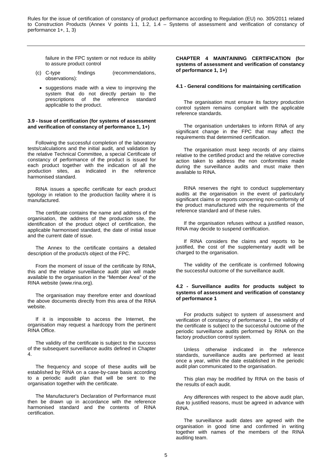failure in the FPC system or not reduce its ability to assure product control

- (c) C-type findings (recommendations, observations):
- suggestions made with a view to improving the system that do not directly pertain to the prescriptions of the reference standard applicable to the product.

#### **3.9 - Issue of certification (for systems of assessment and verification of constancy of performance 1, 1+)**

Following the successful completion of the laboratory tests/calculations and the initial audit, and validation by the relative Technical Committee, a special Certificate of constancy of performance of the product is issued for each product together with the indication of all the production sites, as indicated in the reference harmonised standard.

RINA issues a specific certificate for each product typology in relation to the production facility where it is manufactured.

The certificate contains the name and address of the organisation, the address of the production site, the identification of the product object of certification, the applicable harmonised standard, the date of initial issue and the current date of issue.

The Annex to the certificate contains a detailed description of the product/s object of the FPC.

From the moment of issue of the certificate by RINA, this and the relative surveillance audit plan will made available to the organisation in the "Member Area" of the RINA website (www.rina.org).

The organisation may therefore enter and download the above documents directly from this area of the RINA website.

If it is impossible to access the Internet, the organisation may request a hardcopy from the pertinent RINA Office.

The validity of the certificate is subject to the success of the subsequent surveillance audits defined in Chapter 4.

The frequency and scope of these audits will be established by RINA on a case-by-case basis according to a periodic audit plan that will be sent to the organisation together with the certificate.

The Manufacturer's Declaration of Performance must then be drawn up in accordance with the reference harmonised standard and the contents of RINA certification.

**CHAPTER 4 MAINTAINING CERTIFICATION (for systems of assessment and verification of constancy of performance 1, 1+)**

#### **4.1 - General conditions for maintaining certification**

The organisation must ensure its factory production control system remains compliant with the applicable reference standards.

The organisation undertakes to inform RINA of any significant change in the FPC that may affect the requirements that determined certification.

The organisation must keep records of any claims relative to the certified product and the relative corrective action taken to address the non conformities made during the surveillance audits and must make then available to RINA.

RINA reserves the right to conduct supplementary audits at the organisation in the event of particularly significant claims or reports concerning non-conformity of the product manufactured with the requirements of the reference standard and of these rules.

If the organisation refuses without a justified reason, RINA may decide to suspend certification.

If RINA considers the claims and reports to be justified, the cost of the supplementary audit will be charged to the organisation.

The validity of the certificate is confirmed following the successful outcome of the surveillance audit.

#### **4.2 - Surveillance audits for products subject to systems of assessment and verification of constancy of performance 1**

For products subject to system of assessment and verification of constancy of performance 1, the validity of the certificate is subject to the successful outcome of the periodic surveillance audits performed by RINA on the factory production control system.

Unless otherwise indicated in the reference standards, surveillance audits are performed at least once a year, within the date established in the periodic audit plan communicated to the organisation.

This plan may be modified by RINA on the basis of the results of each audit.

Any differences with respect to the above audit plan, due to justified reasons, must be agreed in advance with RINA.

The surveillance audit dates are agreed with the organisation in good time and confirmed in writing together with names of the members of the RINA auditing team.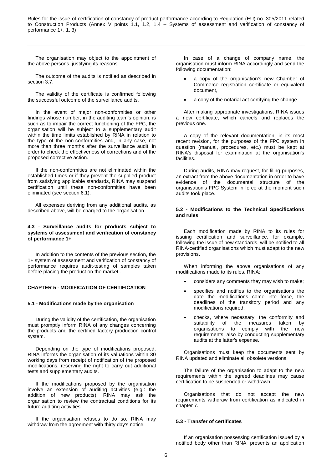The organisation may object to the appointment of the above persons, justifying its reasons.

The outcome of the audits is notified as described in section 3.7.

The validity of the certificate is confirmed following the successful outcome of the surveillance audits.

In the event of major non-conformities or other findings whose number, in the auditing team's opinion, is such as to impair the correct functioning of the FPC, the organisation will be subject to a supplementary audit within the time limits established by RINA in relation to the type of the non-conformities and, in any case, not more than three months after the surveillance audit, in order to check the effectiveness of corrections and of the proposed corrective action.

If the non-conformities are not eliminated within the established times or if they prevent the supplied product from satisfying applicable standards, RINA may suspend certification until these non-conformities have been eliminated (see section 6.1).

All expenses deriving from any additional audits, as described above, will be charged to the organisation.

#### **4.3 - Surveillance audits for products subject to systems of assessment and verification of constancy of performance 1+**

In addition to the contents of the previous section, the 1+ system of assessment and verification of constancy of performance requires audit-testing of samples taken before placing the product on the market .

### **CHAPTER 5 - MODIFICATION OF CERTIFICATION**

#### **5.1 - Modifications made by the organisation**

During the validity of the certification, the organisation must promptly inform RINA of any changes concerning the products and the certified factory production control system.

Depending on the type of modifications proposed, RINA informs the organisation of its valuations within 30 working days from receipt of notification of the proposed modifications, reserving the right to carry out additional tests and supplementary audits.

If the modifications proposed by the organisation involve an extension of auditing activities (e.g.: the addition of new products), RINA may ask the organisation to review the contractual conditions for its future auditing activities.

If the organisation refuses to do so, RINA may withdraw from the agreement with thirty day's notice.

In case of a change of company name, the organisation must inform RINA accordingly and send the following documentation:

- a copy of the organisation's new Chamber of Commerce registration certificate or equivalent document,
- a copy of the notarial act certifying the change.

After making appropriate investigations, RINA issues a new certificate, which cancels and replaces the previous one.

A copy of the relevant documentation, in its most recent revision, for the purposes of the FPC system in question (manual, procedures, etc.) must be kept at RINA's disposal for examination at the organisation's facilities.

During audits, RINA may request, for filing purposes, an extract from the above documentation in order to have evidence of the documental structure of the organisation's FPC System in force at the moment such audits took place.

#### **5.2 - Modifications to the Technical Specifications and rules**

Each modification made by RINA to its rules for issuing certification and surveillance, for example, following the issue of new standards, will be notified to all RINA-certified organisations which must adapt to the new provisions.

When informing the above organisations of any modifications made to its rules, RINA:

- considers any comments they may wish to make;
- specifies and notifies to the organisations the date the modifications come into force, the deadlines of the transitory period and any modifications required;
- checks, where necessary, the conformity and suitability of the measures taken by<br>organisations to comply with the new organisations to comply requirements, also by conducting supplementary audits at the latter's expense.

Organisations must keep the documents sent by RINA updated and eliminate all obsolete versions.

The failure of the organisation to adapt to the new requirements within the agreed deadlines may cause certification to be suspended or withdrawn.

Organisations that do not accept the new requirements withdraw from certification as indicated in chapter 7.

#### **5.3 - Transfer of certificates**

If an organisation possessing certification issued by a notified body other than RINA, presents an application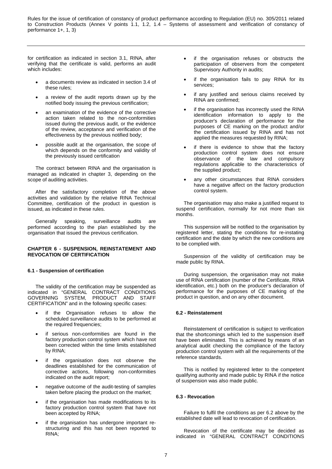for certification as indicated in section 3.1, RINA, after verifying that the certificate is valid, performs an audit which includes:

- a documents review as indicated in section 3.4 of these rules;
- a review of the audit reports drawn up by the notified body issuing the previous certification;
- an examination of the evidence of the corrective action taken related to the non-conformities issued during the previous audit, or the evidence of the review, acceptance and verification of the effectiveness by the previous notified body;
- possible audit at the organisation, the scope of which depends on the conformity and validity of the previously issued certification

The contract between RINA and the organisation is managed as indicated in chapter 3, depending on the scope of auditing activities.

After the satisfactory completion of the above activities and validation by the relative RINA Technical Committee, certification of the product in question is issued, as indicated in these rules.

Generally speaking, surveillance audits are performed according to the plan established by the organisation that issued the previous certification.

### **CHAPTER 6 - SUSPENSION, REINSTATEMENT AND REVOCATION OF CERTIFICATION**

#### **6.1 - Suspension of certification**

The validity of the certification may be suspended as indicated in "GENERAL CONTRACT CONDITIONS<br>GOVERNING SYSTEM, PRODUCT AND STAFF SYSTEM, PRODUCT AND STAFF CERTIFICATION" and in the following specific cases:

- if the Organisation refuses to allow the scheduled surveillance audits to be performed at the required frequencies;
- if serious non-conformities are found in the factory production control system which have not been corrected within the time limits established by RINA;
- if the organisation does not observe the deadlines established for the communication of corrective actions, following non-conformities indicated on the audit report;
- negative outcome of the audit-testing of samples taken before placing the product on the market;
- if the organisation has made modifications to its factory production control system that have not been accepted by RINA;
- if the organisation has undergone important restructuring and this has not been reported to RINA;
- if the organisation refuses or obstructs the participation of observers from the competent Supervisory Authority in audits;
- if the organisation fails to pay RINA for its services;
- if any justified and serious claims received by RINA are confirmed;
- if the organisation has incorrectly used the RINA identification information to apply to the producer's declaration of performance for the purposes of CE marking on the product and/or the certification issued by RINA and has not applied the measures requested by RINA;
- if there is evidence to show that the factory production control system does not ensure observance of the law and compulsory regulations applicable to the characteristics of the supplied product;
- any other circumstances that RINA considers have a negative affect on the factory production control system.

The organisation may also make a justified request to suspend certification, normally for not more than six months.

This suspension will be notified to the organisation by registered letter, stating the conditions for re-instating certification and the date by which the new conditions are to be complied with.

Suspension of the validity of certification may be made public by RINA.

During suspension, the organisation may not make use of RINA certification (number of the Certificate, RINA identification, etc.) both on the producer's declaration of performance for the purposes of CE marking of the product in question, and on any other document.

### **6.2 - Reinstatement**

Reinstatement of certification is subject to verification that the shortcomings which led to the suspension itself have been eliminated. This is achieved by means of an analytical audit checking the compliance of the factory production control system with all the requirements of the reference standards.

This is notified by registered letter to the competent qualifying authority and made public by RINA if the notice of suspension was also made public.

#### **6.3 - Revocation**

Failure to fulfil the conditions as per 6.2 above by the established date will lead to revocation of certification.

Revocation of the certificate may be decided as indicated in "GENERAL CONTRACT CONDITIONS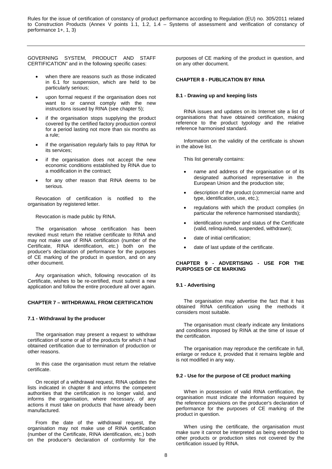GOVERNING SYSTEM, PRODUCT AND STAFF CERTIFICATION" and in the following specific cases:

- when there are reasons such as those indicated in 6.1 for suspension, which are held to be particularly serious;
- upon formal request if the organisation does not want to or cannot comply with the new instructions issued by RINA (see chapter 5);
- if the organisation stops supplying the product covered by the certified factory production control for a period lasting not more than six months as a rule;
- if the organisation regularly fails to pay RINA for its services;
- if the organisation does not accept the new economic conditions established by RINA due to a modification in the contract;
- for any other reason that RINA deems to be serious.

Revocation of certification is notified to the organisation by registered letter.

Revocation is made public by RINA.

The organisation whose certification has been revoked must return the relative certificate to RINA and may not make use of RINA certification (number of the Certificate, RINA identification, etc.) both on the producer's declaration of performance for the purposes of CE marking of the product in question, and on any other document.

Any organisation which, following revocation of its Certificate, wishes to be re-certified, must submit a new application and follow the entire procedure all over again.

### **CHAPTER 7 – WITHDRAWAL FROM CERTIFICATION**

#### **7.1 - Withdrawal by the producer**

The organisation may present a request to withdraw certification of some or all of the products for which it had obtained certification due to termination of production or other reasons.

In this case the organisation must return the relative certificate.

On receipt of a withdrawal request, RINA updates the lists indicated in chapter 8 and informs the competent authorities that the certification is no longer valid, and informs the organisation, where necessary, of any actions it must take on products that have already been manufactured.

From the date of the withdrawal request, the organisation may not make use of RINA certification (number of the Certificate, RINA identification, etc.) both on the producer's declaration of conformity for the purposes of CE marking of the product in question, and on any other document.

#### **CHAPTER 8 - PUBLICATION BY RINA**

#### **8.1 - Drawing up and keeping lists**

RINA issues and updates on its Internet site a list of organisations that have obtained certification, making reference to the product typology and the relative reference harmonised standard.

Information on the validity of the certificate is shown in the above list.

This list generally contains:

- name and address of the organisation or of its designated authorised representative in the European Union and the production site;
- description of the product (commercial name and type, identification, use, etc.);
- regulations with which the product complies (in particular the reference harmonised standards);
- identification number and status of the Certificate (valid, relinquished, suspended, withdrawn);
- date of initial certification;
- date of last update of the certificate.

### **CHAPTER 9 - ADVERTISING - USE FOR THE PURPOSES OF CE MARKING**

### **9.1 - Advertising**

The organisation may advertise the fact that it has obtained RINA certification using the methods it considers most suitable.

The organisation must clearly indicate any limitations and conditions imposed by RINA at the time of issue of the certification.

The organisation may reproduce the certificate in full, enlarge or reduce it, provided that it remains legible and is not modified in any way.

#### **9.2 - Use for the purpose of CE product marking**

When in possession of valid RINA certification, the organisation must indicate the information required by the reference provisions on the producer's declaration of performance for the purposes of CE marking of the product in question.

When using the certificate, the organisation must make sure it cannot be interpreted as being extended to other products or production sites not covered by the certification issued by RINA.